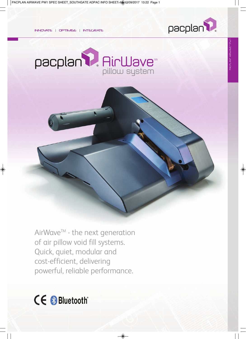